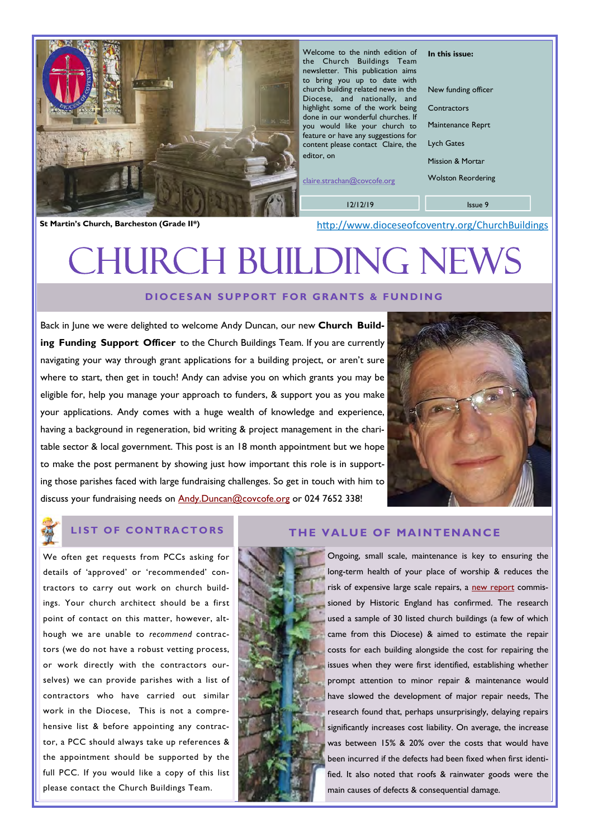

Welcome to the ninth edition of the Church Buildings Team newsletter. This publication aims to bring you up to date with church building related news in the Diocese, and nationally, and highlight some of the work being done in our wonderful churches. If you would like your church to feature or have any suggestions for content please contact Claire, the editor, on

claire.strachan@covcofe.org

12/12/19

Issue 9

In this issue:

**Contractors** 

Lych Gates

New funding officer

Maintenance Reprt

Mission & Mortar Wolston Reordering

St Martin's Church, Barcheston (Grade II\*) **St Martin's Church, Barcheston (Grade II\*)** http://www.dioceseofcoventry.org/ChurchBuildings

# URCH BUILDING NE

# DIOCESAN SUPPORT FOR GRANTS & FUNDING

Back in June we were delighted to welcome Andy Duncan, our new Church Building Funding Support Officer to the Church Buildings Team. If you are currently navigating your way through grant applications for a building project, or aren't sure where to start, then get in touch! Andy can advise you on which grants you may be eligible for, help you manage your approach to funders, & support you as you make your applications. Andy comes with a huge wealth of knowledge and experience, having a background in regeneration, bid writing & project management in the charitable sector & local government. This post is an 18 month appointment but we hope to make the post permanent by showing just how important this role is in supporting those parishes faced with large fundraising challenges. So get in touch with him to discuss your fundraising needs on **Andy.Duncan@covcofe.org** or 024 7652 338!



We often get requests from PCCs asking for details of 'approved' or 'recommended' contractors to carry out work on church buildings. Your church architect should be a first point of contact on this matter, however, although we are unable to recommend contractors (we do not have a robust vetting process, or work directly with the contractors ourselves) we can provide parishes with a list of contractors who have carried out similar work in the Diocese, This is not a comprehensive list & before appointing any contractor, a PCC should always take up references & the appointment should be supported by the full PCC. If you would like a copy of this list please contact the Church Buildings Team.

# LIST OF CONTRACTORS THE VALUE OF MAINTENANCE

Ongoing, small scale, maintenance is key to ensuring the long-term health of your place of worship & reduces the risk of expensive large scale repairs, a [new report](https://historicengland.org.uk/images-books/publications/value-of-maintenance/) commissioned by Historic England has confirmed. The research used a sample of 30 listed church buildings (a few of which came from this Diocese) & aimed to estimate the repair costs for each building alongside the cost for repairing the issues when they were first identified, establishing whether prompt attention to minor repair & maintenance would have slowed the development of major repair needs, The research found that, perhaps unsurprisingly, delaying repairs significantly increases cost liability. On average, the increase was between 15% & 20% over the costs that would have been incurred if the defects had been fixed when first identified. It also noted that roofs & rainwater goods were the main causes of defects & consequential damage.